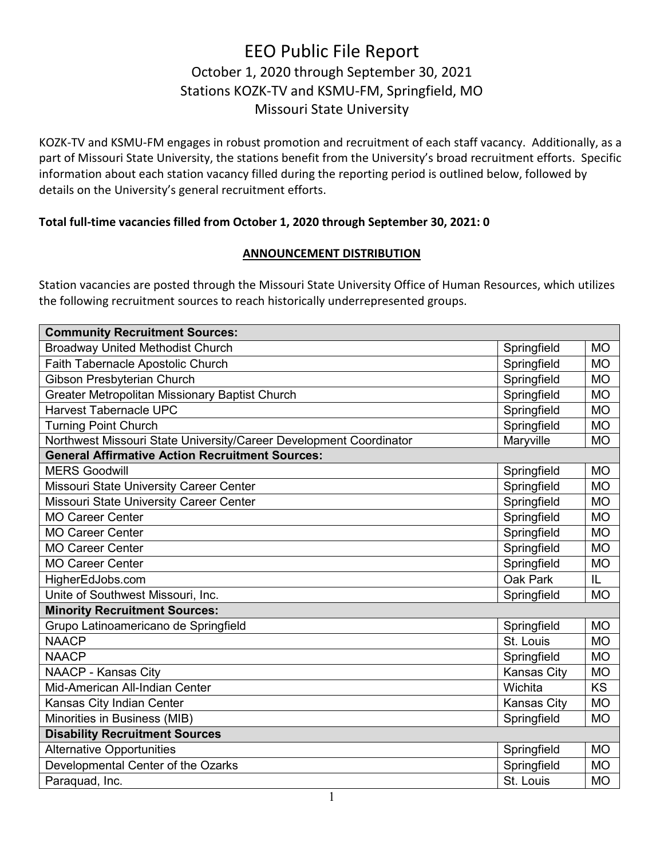# EEO Public File Report October 1, 2020 through September 30, 2021 Stations KOZK-TV and KSMU-FM, Springfield, MO Missouri State University

KOZK-TV and KSMU-FM engages in robust promotion and recruitment of each staff vacancy. Additionally, as a part of Missouri State University, the stations benefit from the University's broad recruitment efforts. Specific information about each station vacancy filled during the reporting period is outlined below, followed by details on the University's general recruitment efforts.

## **Total full-time vacancies filled from October 1, 2020 through September 30, 2021: 0**

#### **ANNOUNCEMENT DISTRIBUTION**

Station vacancies are posted through the Missouri State University Office of Human Resources, which utilizes the following recruitment sources to reach historically underrepresented groups.

| <b>Community Recruitment Sources:</b>                              |                    |           |  |
|--------------------------------------------------------------------|--------------------|-----------|--|
| <b>Broadway United Methodist Church</b>                            | Springfield        | <b>MO</b> |  |
| Faith Tabernacle Apostolic Church                                  | Springfield        | <b>MO</b> |  |
| <b>Gibson Presbyterian Church</b>                                  | Springfield        | <b>MO</b> |  |
| Greater Metropolitan Missionary Baptist Church                     | Springfield        | <b>MO</b> |  |
| Harvest Tabernacle UPC                                             | Springfield        | <b>MO</b> |  |
| <b>Turning Point Church</b>                                        | Springfield        | <b>MO</b> |  |
| Northwest Missouri State University/Career Development Coordinator | Maryville          | <b>MO</b> |  |
| <b>General Affirmative Action Recruitment Sources:</b>             |                    |           |  |
| <b>MERS Goodwill</b>                                               | Springfield        | <b>MO</b> |  |
| Missouri State University Career Center                            | Springfield        | <b>MO</b> |  |
| Missouri State University Career Center                            | Springfield        | <b>MO</b> |  |
| <b>MO Career Center</b>                                            | Springfield        | <b>MO</b> |  |
| <b>MO Career Center</b>                                            | Springfield        | <b>MO</b> |  |
| <b>MO Career Center</b>                                            | Springfield        | <b>MO</b> |  |
| <b>MO Career Center</b>                                            | Springfield        | <b>MO</b> |  |
| HigherEdJobs.com                                                   | Oak Park           | IL        |  |
| Unite of Southwest Missouri, Inc.                                  | Springfield        | <b>MO</b> |  |
| <b>Minority Recruitment Sources:</b>                               |                    |           |  |
| Grupo Latinoamericano de Springfield                               | Springfield        | <b>MO</b> |  |
| <b>NAACP</b>                                                       | St. Louis          | <b>MO</b> |  |
| <b>NAACP</b>                                                       | Springfield        | <b>MO</b> |  |
| <b>NAACP - Kansas City</b>                                         | <b>Kansas City</b> | <b>MO</b> |  |
| Mid-American All-Indian Center                                     | Wichita            | <b>KS</b> |  |
| Kansas City Indian Center                                          | <b>Kansas City</b> | <b>MO</b> |  |
| Minorities in Business (MIB)                                       | Springfield        | <b>MO</b> |  |
| <b>Disability Recruitment Sources</b>                              |                    |           |  |
| <b>Alternative Opportunities</b>                                   | Springfield        | <b>MO</b> |  |
| Developmental Center of the Ozarks                                 | Springfield        | <b>MO</b> |  |
| Paraquad, Inc.                                                     | St. Louis          | <b>MO</b> |  |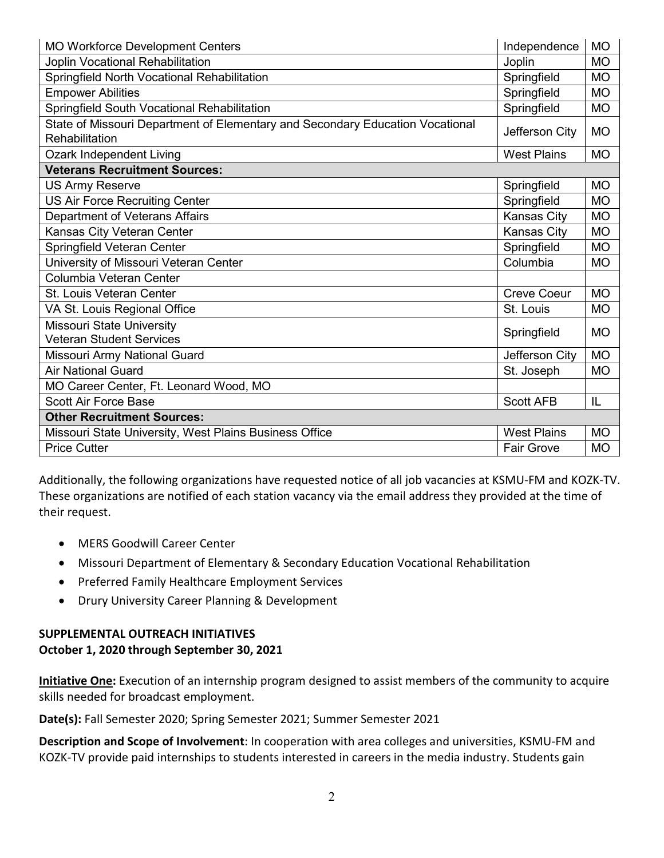| <b>MO Workforce Development Centers</b>                                                         | Independence       | <b>MO</b> |  |
|-------------------------------------------------------------------------------------------------|--------------------|-----------|--|
| Joplin Vocational Rehabilitation                                                                | Joplin             | <b>MO</b> |  |
| Springfield North Vocational Rehabilitation                                                     | Springfield        | <b>MO</b> |  |
| <b>Empower Abilities</b>                                                                        | Springfield        | <b>MO</b> |  |
| Springfield South Vocational Rehabilitation                                                     | Springfield        | <b>MO</b> |  |
| State of Missouri Department of Elementary and Secondary Education Vocational<br>Rehabilitation | Jefferson City     | <b>MO</b> |  |
| <b>Ozark Independent Living</b>                                                                 | <b>West Plains</b> | <b>MO</b> |  |
| <b>Veterans Recruitment Sources:</b>                                                            |                    |           |  |
| <b>US Army Reserve</b>                                                                          | Springfield        | <b>MO</b> |  |
| US Air Force Recruiting Center                                                                  | Springfield        | <b>MO</b> |  |
| Department of Veterans Affairs                                                                  | <b>Kansas City</b> | <b>MO</b> |  |
| Kansas City Veteran Center                                                                      | <b>Kansas City</b> | <b>MO</b> |  |
| Springfield Veteran Center                                                                      | Springfield        | <b>MO</b> |  |
| University of Missouri Veteran Center                                                           | Columbia           | <b>MO</b> |  |
| Columbia Veteran Center                                                                         |                    |           |  |
| St. Louis Veteran Center                                                                        | <b>Creve Coeur</b> | <b>MO</b> |  |
| VA St. Louis Regional Office                                                                    | St. Louis          | <b>MO</b> |  |
| <b>Missouri State University</b><br><b>Veteran Student Services</b>                             | Springfield        | <b>MO</b> |  |
| Missouri Army National Guard                                                                    | Jefferson City     | <b>MO</b> |  |
| <b>Air National Guard</b>                                                                       | St. Joseph         | <b>MO</b> |  |
| MO Career Center, Ft. Leonard Wood, MO                                                          |                    |           |  |
| Scott Air Force Base                                                                            | <b>Scott AFB</b>   | IL        |  |
| <b>Other Recruitment Sources:</b>                                                               |                    |           |  |
| Missouri State University, West Plains Business Office                                          | <b>West Plains</b> | <b>MO</b> |  |
| <b>Price Cutter</b>                                                                             | <b>Fair Grove</b>  | <b>MO</b> |  |

Additionally, the following organizations have requested notice of all job vacancies at KSMU-FM and KOZK-TV. These organizations are notified of each station vacancy via the email address they provided at the time of their request.

- MERS Goodwill Career Center
- Missouri Department of Elementary & Secondary Education Vocational Rehabilitation
- Preferred Family Healthcare Employment Services
- Drury University Career Planning & Development

# **SUPPLEMENTAL OUTREACH INITIATIVES October 1, 2020 through September 30, 2021**

**Initiative One:** Execution of an internship program designed to assist members of the community to acquire skills needed for broadcast employment.

**Date(s):** Fall Semester 2020; Spring Semester 2021; Summer Semester 2021

**Description and Scope of Involvement**: In cooperation with area colleges and universities, KSMU-FM and KOZK-TV provide paid internships to students interested in careers in the media industry. Students gain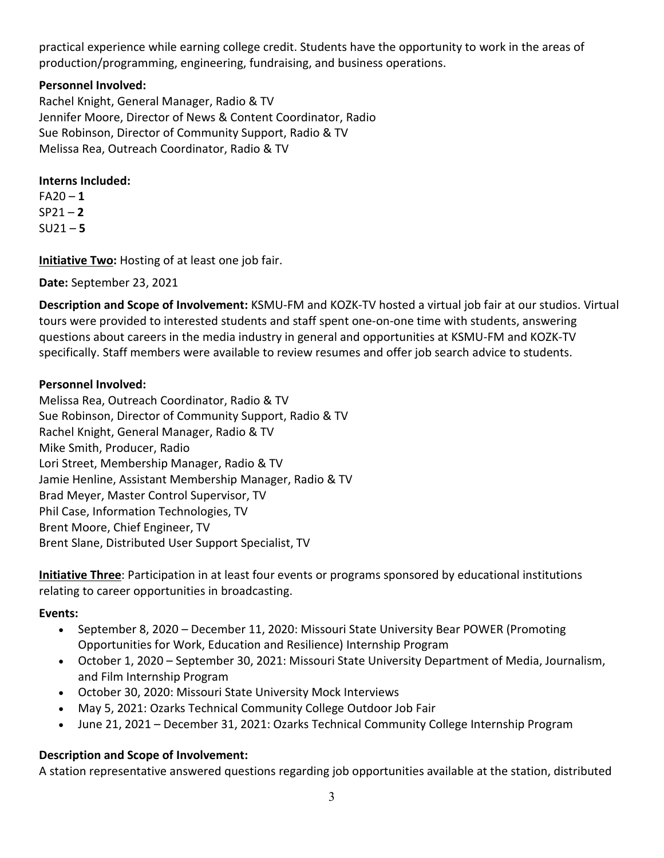practical experience while earning college credit. Students have the opportunity to work in the areas of production/programming, engineering, fundraising, and business operations.

# **Personnel Involved:**

Rachel Knight, General Manager, Radio & TV Jennifer Moore, Director of News & Content Coordinator, Radio Sue Robinson, Director of Community Support, Radio & TV Melissa Rea, Outreach Coordinator, Radio & TV

## **Interns Included:**

 $FA20 - 1$ SP21 – **2**   $SU21 - 5$ 

**Initiative Two:** Hosting of at least one job fair.

# **Date:** September 23, 2021

**Description and Scope of Involvement:** KSMU-FM and KOZK-TV hosted a virtual job fair at our studios. Virtual tours were provided to interested students and staff spent one-on-one time with students, answering questions about careers in the media industry in general and opportunities at KSMU-FM and KOZK-TV specifically. Staff members were available to review resumes and offer job search advice to students.

# **Personnel Involved:**

Melissa Rea, Outreach Coordinator, Radio & TV Sue Robinson, Director of Community Support, Radio & TV Rachel Knight, General Manager, Radio & TV Mike Smith, Producer, Radio Lori Street, Membership Manager, Radio & TV Jamie Henline, Assistant Membership Manager, Radio & TV Brad Meyer, Master Control Supervisor, TV Phil Case, Information Technologies, TV Brent Moore, Chief Engineer, TV Brent Slane, Distributed User Support Specialist, TV

**Initiative Three**: Participation in at least four events or programs sponsored by educational institutions relating to career opportunities in broadcasting.

# **Events:**

- September 8, 2020 December 11, 2020: Missouri State University Bear POWER (Promoting Opportunities for Work, Education and Resilience) Internship Program
- October 1, 2020 September 30, 2021: Missouri State University Department of Media, Journalism, and Film Internship Program
- October 30, 2020: Missouri State University Mock Interviews
- May 5, 2021: Ozarks Technical Community College Outdoor Job Fair
- June 21, 2021 December 31, 2021: Ozarks Technical Community College Internship Program

## **Description and Scope of Involvement:**

A station representative answered questions regarding job opportunities available at the station, distributed